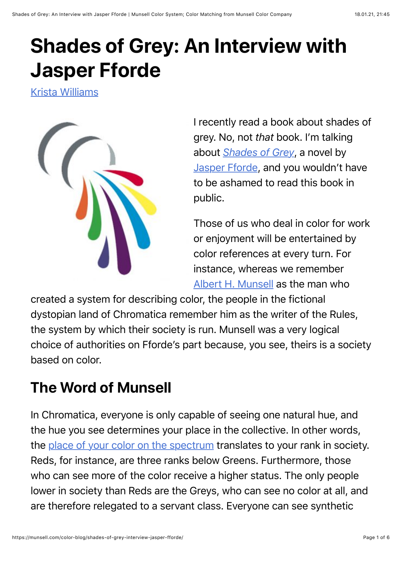# **Shades of Grey: An Interview with Jasper Fforde**

[Krista Williams](https://munsell.com/color-blog/author/krista-williams/)



I recently read a book about shades of grey. No, not *that* book. I'm talking about *[Shades of Grey](https://smile.amazon.com/dp/B002UXRF6M/ref=smi_www_rco2_go_smi_g1405964225?_encoding=UTF8&btkr=1&ie=UTF8)*, a novel by [Jasper Fforde](http://www.jasperfforde.com/), and you wouldn't have to be ashamed to read this book in public.

Those of us who deal in color for work or enjoyment will be entertained by color references at every turn. For instance, whereas we remember [Albert H. Munsell](https://munsell.com/about-munsell-color/development-of-the-munsell-color-order-system/) as the man who

created a system for describing color, the people in the fictional dystopian land of Chromatica remember him as the writer of the Rules, the system by which their society is run. Munsell was a very logical choice of authorities on Fforde's part because, you see, theirs is a society based on color.

## **The Word of Munsell**

In Chromatica, everyone is only capable of seeing one natural hue, and the hue you see determines your place in the collective. In other words, the [place of your color on the spectrum](https://www.xrite.com/hue-test) translates to your rank in society. Reds, for instance, are three ranks below Greens. Furthermore, those who can see more of the color receive a higher status. The only people lower in society than Reds are the Greys, who can see no color at all, and are therefore relegated to a servant class. Everyone can see synthetic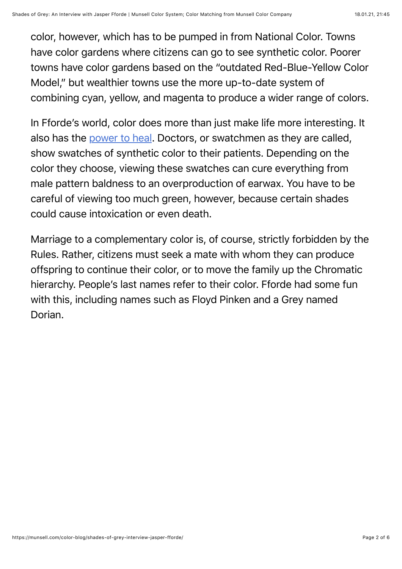color, however, which has to be pumped in from National Color. Towns have color gardens where citizens can go to see synthetic color. Poorer towns have color gardens based on the "outdated Red-Blue-Yellow Color Model," but wealthier towns use the more up-to-date system of combining cyan, yellow, and magenta to produce a wider range of colors.

In Fforde's world, color does more than just make life more interesting. It also has the [power to heal.](https://munsell.com/color-blog/national-color-therapy-month/) Doctors, or swatchmen as they are called, show swatches of synthetic color to their patients. Depending on the color they choose, viewing these swatches can cure everything from male pattern baldness to an overproduction of earwax. You have to be careful of viewing too much green, however, because certain shades could cause intoxication or even death.

Marriage to a complementary color is, of course, strictly forbidden by the Rules. Rather, citizens must seek a mate with whom they can produce offspring to continue their color, or to move the family up the Chromatic hierarchy. People's last names refer to their color. Fforde had some fun with this, including names such as Floyd Pinken and a Grey named Dorian.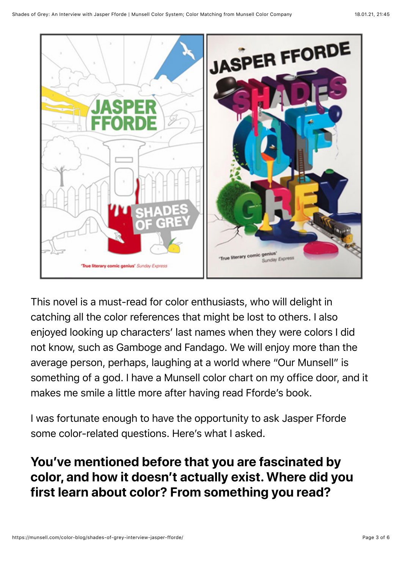

This novel is a must-read for color enthusiasts, who will delight in catching all the color references that might be lost to others. I also enjoyed looking up characters' last names when they were colors I did not know, such as Gamboge and Fandago. We will enjoy more than the average person, perhaps, laughing at a world where "Our Munsell" is something of a god. I have a Munsell color chart on my office door, and it makes me smile a little more after having read Fforde's book.

I was fortunate enough to have the opportunity to ask Jasper Fforde some color-related questions. Here's what I asked.

### **You've mentioned before that you are fascinated by color, and how it doesn't actually exist. Where did you first learn about color? From something you read?**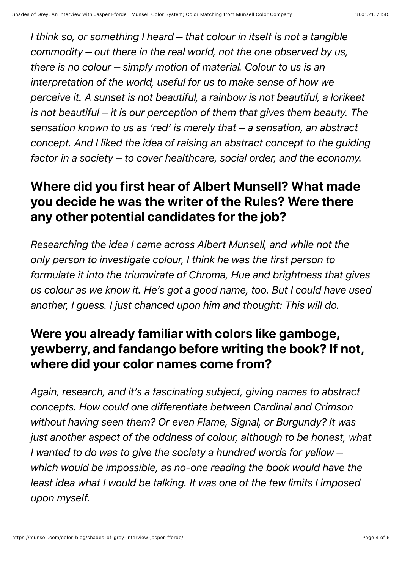*I think so, or something I heard – that colour in itself is not a tangible commodity – out there in the real world, not the one observed by us, there is no colour – simply motion of material. Colour to us is an interpretation of the world, useful for us to make sense of how we perceive it. A sunset is not beautiful, a rainbow is not beautiful, a lorikeet is not beautiful – it is our perception of them that gives them beauty. The sensation known to us as 'red' is merely that – a sensation, an abstract concept. And I liked the idea of raising an abstract concept to the guiding factor in a society – to cover healthcare, social order, and the economy.*

#### **Where did you first hear of Albert Munsell? What made you decide he was the writer of the Rules? Were there any other potential candidates for the job?**

*Researching the idea I came across Albert Munsell, and while not the only person to investigate colour, I think he was the first person to formulate it into the triumvirate of Chroma, Hue and brightness that gives us colour as we know it. He's got a good name, too. But I could have used another, I guess. I just chanced upon him and thought: This will do.*

### **Were you already familiar with colors like gamboge, yewberry, and fandango before writing the book? If not, where did your color names come from?**

*Again, research, and it's a fascinating subject, giving names to abstract concepts. How could one differentiate between Cardinal and Crimson without having seen them? Or even Flame, Signal, or Burgundy? It was just another aspect of the oddness of colour, although to be honest, what I wanted to do was to give the society a hundred words for yellow – which would be impossible, as no-one reading the book would have the least idea what I would be talking. It was one of the few limits I imposed upon myself.*